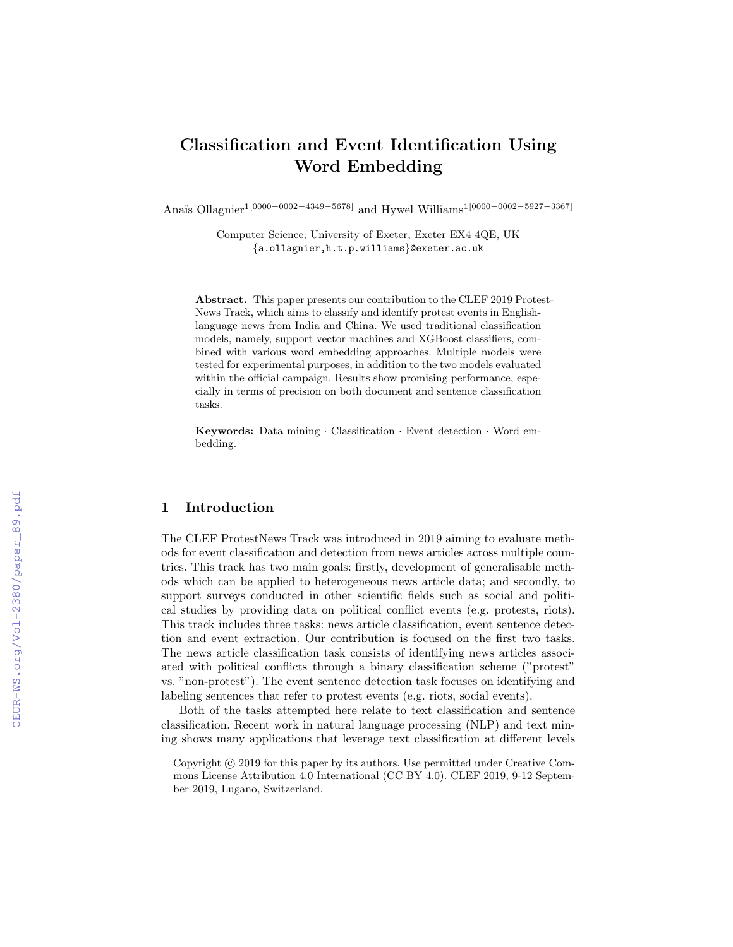# Classification and Event Identification Using Word Embedding

Anaïs Ollagnier<sup>1</sup>[0000−0002−4349−5678] and Hywel Williams<sup>1</sup>[0000−0002−5927−3367]

Computer Science, University of Exeter, Exeter EX4 4QE, UK {a.ollagnier,h.t.p.williams}@exeter.ac.uk

Abstract. This paper presents our contribution to the CLEF 2019 Protest-News Track, which aims to classify and identify protest events in Englishlanguage news from India and China. We used traditional classification models, namely, support vector machines and XGBoost classifiers, combined with various word embedding approaches. Multiple models were tested for experimental purposes, in addition to the two models evaluated within the official campaign. Results show promising performance, especially in terms of precision on both document and sentence classification tasks.

Keywords: Data mining · Classification · Event detection · Word embedding.

#### 1 Introduction

The CLEF ProtestNews Track was introduced in 2019 aiming to evaluate methods for event classification and detection from news articles across multiple countries. This track has two main goals: firstly, development of generalisable methods which can be applied to heterogeneous news article data; and secondly, to support surveys conducted in other scientific fields such as social and political studies by providing data on political conflict events (e.g. protests, riots). This track includes three tasks: news article classification, event sentence detection and event extraction. Our contribution is focused on the first two tasks. The news article classification task consists of identifying news articles associated with political conflicts through a binary classification scheme ("protest" vs. "non-protest"). The event sentence detection task focuses on identifying and labeling sentences that refer to protest events (e.g. riots, social events).

Both of the tasks attempted here relate to text classification and sentence classification. Recent work in natural language processing (NLP) and text mining shows many applications that leverage text classification at different levels

Copyright  $\odot$  2019 for this paper by its authors. Use permitted under Creative Commons License Attribution 4.0 International (CC BY 4.0). CLEF 2019, 9-12 September 2019, Lugano, Switzerland.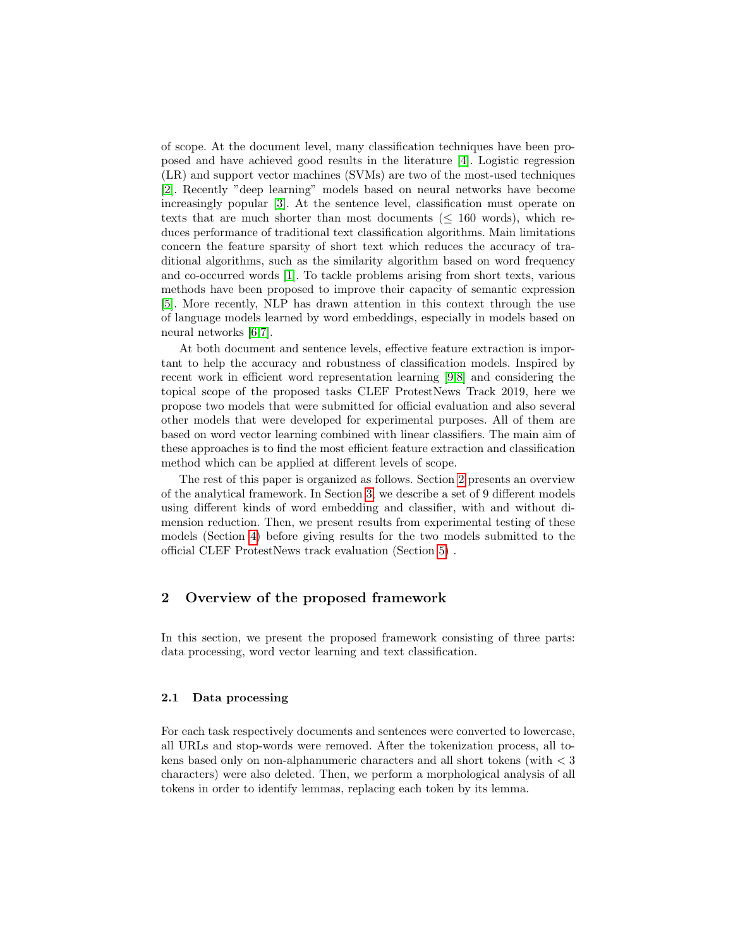of scope. At the document level, many classification techniques have been proposed and have achieved good results in the literature [\[4\]](#page-8-0). Logistic regression (LR) and support vector machines (SVMs) are two of the most-used techniques [\[2\]](#page-8-1). Recently "deep learning" models based on neural networks have become increasingly popular [\[3\]](#page-8-2). At the sentence level, classification must operate on texts that are much shorter than most documents  $(\leq 160 \text{ words})$ , which reduces performance of traditional text classification algorithms. Main limitations concern the feature sparsity of short text which reduces the accuracy of traditional algorithms, such as the similarity algorithm based on word frequency and co-occurred words [\[1\]](#page-7-0). To tackle problems arising from short texts, various methods have been proposed to improve their capacity of semantic expression [\[5\]](#page-8-3). More recently, NLP has drawn attention in this context through the use of language models learned by word embeddings, especially in models based on neural networks [\[6,](#page-8-4)[7\]](#page-8-5).

At both document and sentence levels, effective feature extraction is important to help the accuracy and robustness of classification models. Inspired by recent work in efficient word representation learning [\[9,](#page-8-6)[8\]](#page-8-7) and considering the topical scope of the proposed tasks CLEF ProtestNews Track 2019, here we propose two models that were submitted for official evaluation and also several other models that were developed for experimental purposes. All of them are based on word vector learning combined with linear classifiers. The main aim of these approaches is to find the most efficient feature extraction and classification method which can be applied at different levels of scope.

The rest of this paper is organized as follows. Section [2](#page-1-0) presents an overview of the analytical framework. In Section [3,](#page-3-0) we describe a set of 9 different models using different kinds of word embedding and classifier, with and without dimension reduction. Then, we present results from experimental testing of these models (Section [4\)](#page-5-0) before giving results for the two models submitted to the official CLEF ProtestNews track evaluation (Section [5\)](#page-6-0) .

# <span id="page-1-0"></span>2 Overview of the proposed framework

In this section, we present the proposed framework consisting of three parts: data processing, word vector learning and text classification.

#### 2.1 Data processing

For each task respectively documents and sentences were converted to lowercase, all URLs and stop-words were removed. After the tokenization process, all tokens based only on non-alphanumeric characters and all short tokens (with < 3 characters) were also deleted. Then, we perform a morphological analysis of all tokens in order to identify lemmas, replacing each token by its lemma.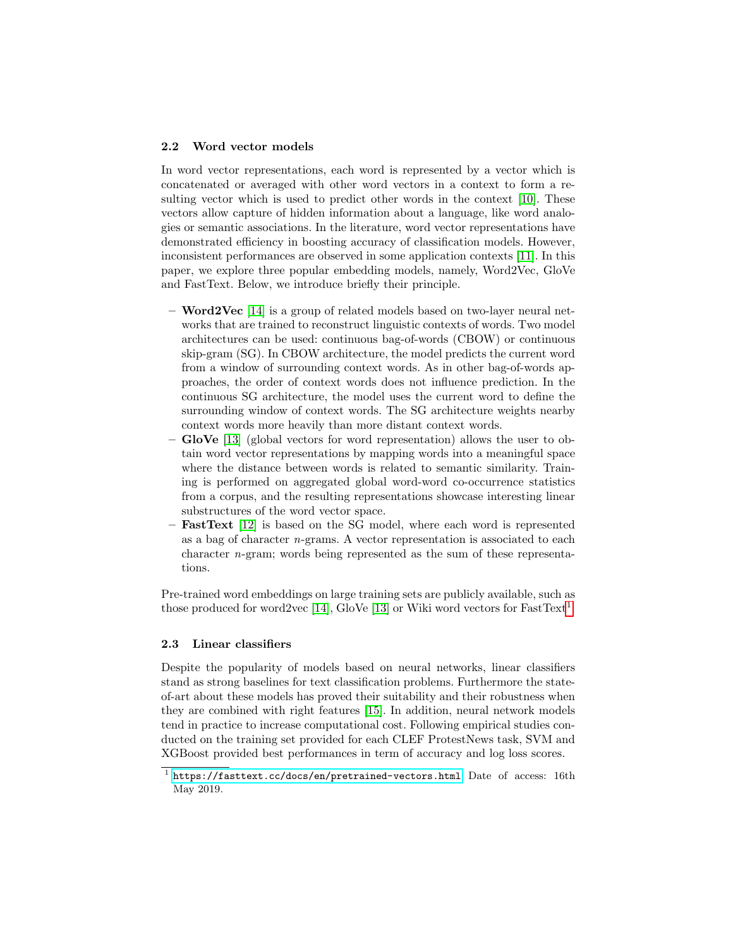#### 2.2 Word vector models

In word vector representations, each word is represented by a vector which is concatenated or averaged with other word vectors in a context to form a resulting vector which is used to predict other words in the context [\[10\]](#page-8-8). These vectors allow capture of hidden information about a language, like word analogies or semantic associations. In the literature, word vector representations have demonstrated efficiency in boosting accuracy of classification models. However, inconsistent performances are observed in some application contexts [\[11\]](#page-8-9). In this paper, we explore three popular embedding models, namely, Word2Vec, GloVe and FastText. Below, we introduce briefly their principle.

- **Word2Vec** [\[14\]](#page-8-10) is a group of related models based on two-layer neural networks that are trained to reconstruct linguistic contexts of words. Two model architectures can be used: continuous bag-of-words (CBOW) or continuous skip-gram (SG). In CBOW architecture, the model predicts the current word from a window of surrounding context words. As in other bag-of-words approaches, the order of context words does not influence prediction. In the continuous SG architecture, the model uses the current word to define the surrounding window of context words. The SG architecture weights nearby context words more heavily than more distant context words.
- GloVe  $[13]$  (global vectors for word representation) allows the user to obtain word vector representations by mapping words into a meaningful space where the distance between words is related to semantic similarity. Training is performed on aggregated global word-word co-occurrence statistics from a corpus, and the resulting representations showcase interesting linear substructures of the word vector space.
- FastText [\[12\]](#page-8-12) is based on the SG model, where each word is represented as a bag of character n-grams. A vector representation is associated to each character n-gram; words being represented as the sum of these representations.

Pre-trained word embeddings on large training sets are publicly available, such as those produced for word2vec [\[14\]](#page-8-10), GloVe [\[13\]](#page-8-11) or Wiki word vectors for FastText<sup>[1](#page-2-0)</sup>.

#### 2.3 Linear classifiers

Despite the popularity of models based on neural networks, linear classifiers stand as strong baselines for text classification problems. Furthermore the stateof-art about these models has proved their suitability and their robustness when they are combined with right features [\[15\]](#page-8-13). In addition, neural network models tend in practice to increase computational cost. Following empirical studies conducted on the training set provided for each CLEF ProtestNews task, SVM and XGBoost provided best performances in term of accuracy and log loss scores.

<span id="page-2-0"></span><sup>&</sup>lt;sup>1</sup> <https://fasttext.cc/docs/en/pretrained-vectors.html> Date of access: 16th May 2019.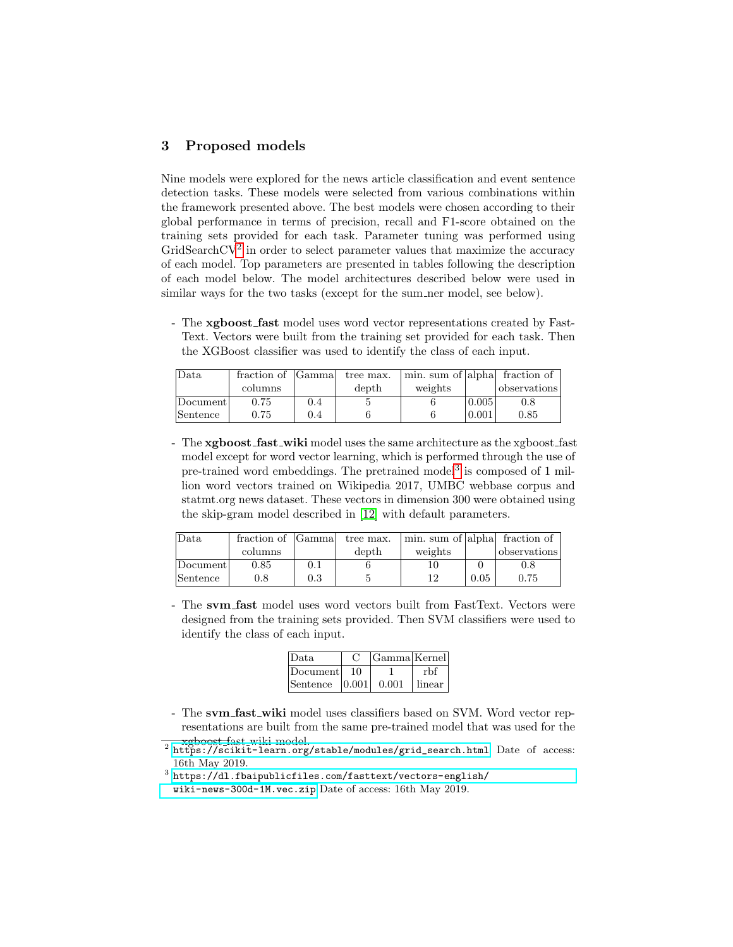## <span id="page-3-0"></span>3 Proposed models

Nine models were explored for the news article classification and event sentence detection tasks. These models were selected from various combinations within the framework presented above. The best models were chosen according to their global performance in terms of precision, recall and F1-score obtained on the training sets provided for each task. Parameter tuning was performed using GridSearchCV<sup>[2](#page-3-1)</sup> in order to select parameter values that maximize the accuracy of each model. Top parameters are presented in tables following the description of each model below. The model architectures described below were used in similar ways for the two tasks (except for the sum ner model, see below).

- The xgboost\_fast model uses word vector representations created by Fast-Text. Vectors were built from the training set provided for each task. Then the XGBoost classifier was used to identify the class of each input.

| Data     | fraction of [Gamma] |     | tree max. | min. sum of  alpha  fraction of |       |              |
|----------|---------------------|-----|-----------|---------------------------------|-------|--------------|
|          | columns             |     | depth     | weights                         |       | observations |
| Document | 0.75                | 0.4 |           |                                 | 0.005 | $0.8\,$      |
| Sentence | $0.75\,$            | 0.4 |           |                                 | 0.001 | $\rm 0.85$   |

- The **xgboost\_fast\_wiki** model uses the same architecture as the xgboost\_fast model except for word vector learning, which is performed through the use of pre-trained word embeddings. The pretrained model<sup>[3](#page-3-2)</sup> is composed of 1 million word vectors trained on Wikipedia 2017, UMBC webbase corpus and statmt.org news dataset. These vectors in dimension 300 were obtained using the skip-gram model described in [\[12\]](#page-8-12) with default parameters.

| Data.    | fraction of | <b>Samma</b> | tree max. | min. sum of alpha fraction of |      |              |
|----------|-------------|--------------|-----------|-------------------------------|------|--------------|
|          | columns     |              | depth     | weights                       |      | observations |
| Document | $0.85\,$    | 0.1          |           | 10                            |      | 0.8          |
| Sentence | 0.8         | 0.3          |           | 12                            | 0.05 | 0.75         |

- The svm fast model uses word vectors built from FastText. Vectors were designed from the training sets provided. Then SVM classifiers were used to identify the class of each input.

| Data                                      | Gamma Kernel |        |
|-------------------------------------------|--------------|--------|
| Document 10                               |              | rhf    |
| $\lvert$ Sentence $\lvert$ 0.001 $\lvert$ | 0.001        | linear |

- The svm\_fast\_wiki model uses classifiers based on SVM. Word vector representations are built from the same pre-trained model that was used for the
- <span id="page-3-1"></span><mark>\_\_\_xgboost\_f</mark>ast\_wiki model.<br><sup>2</sup> [https://scikit-learn.org/stable/modules/grid\\_search.html](https://scikit-learn.org/stable/modules/grid_search.html) Date of access: 16th May 2019.
- <span id="page-3-2"></span> $^3$  [https://dl.fbaipublicfiles.com/fasttext/vectors-english/](https://dl.fbaipublicfiles.com/fasttext/vectors-english/wiki-news-300d-1M.vec.zip) [wiki-news-300d-1M.vec.zip](https://dl.fbaipublicfiles.com/fasttext/vectors-english/wiki-news-300d-1M.vec.zip) Date of access: 16th May 2019.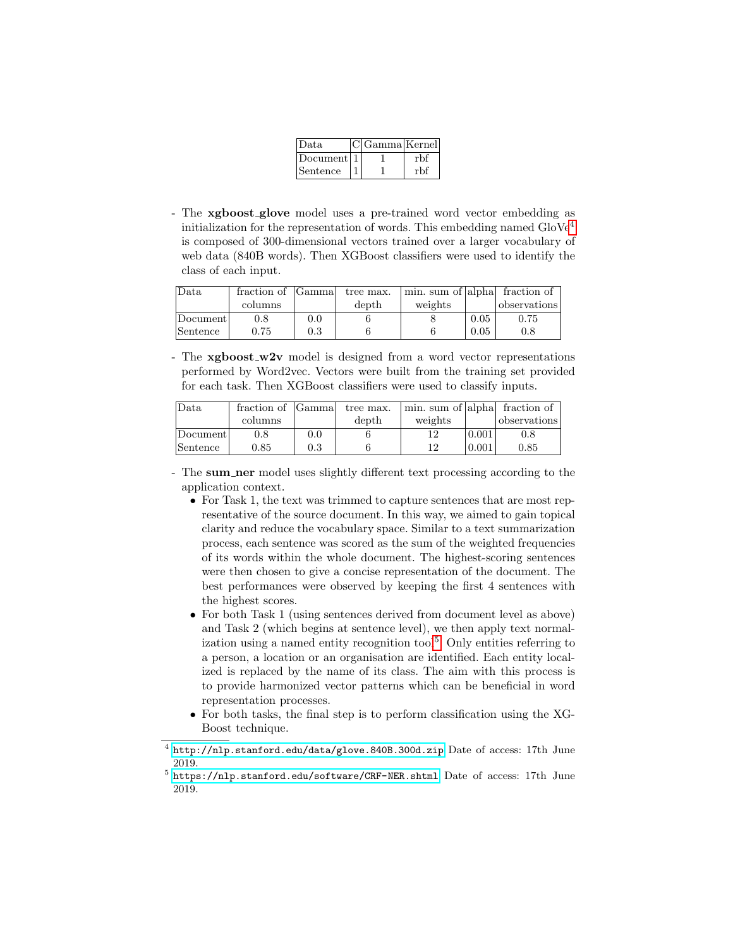| Data.      | C Gamma Kernel |     |
|------------|----------------|-----|
| Document 1 |                | rbf |
| Sentence   |                | rbf |

- The xgboost glove model uses a pre-trained word vector embedding as initialization for the representation of words. This embedding named  $\text{GloVe}^4$  $\text{GloVe}^4$ is composed of 300-dimensional vectors trained over a larger vocabulary of web data (840B words). Then XGBoost classifiers were used to identify the class of each input.

| Data     | fraction of | <b>Gamma</b> | tree max. | min. sum of alpha fraction of |      |              |
|----------|-------------|--------------|-----------|-------------------------------|------|--------------|
|          | columns     |              | depth     | weights                       |      | observations |
| Document | 0.8         | 0.0          |           |                               | 0.05 | 0.75         |
| Sentence | 0.75        | 0.3          |           |                               | 0.05 | 0.8          |

- The **xgboost\_w2v** model is designed from a word vector representations performed by Word2vec. Vectors were built from the training set provided for each task. Then XGBoost classifiers were used to classify inputs.

| Data     | fraction of | <b>Gamma</b> | tree max. | min. sum of alpha fraction of |       |              |
|----------|-------------|--------------|-----------|-------------------------------|-------|--------------|
|          | columns     |              | depth     | weights                       |       | observations |
| Document | 0.8         | 0.0          |           | 12                            | 0.001 | 0.8          |
| Sentence | $\rm 0.85$  | 0.3          |           | 12                            | 0.001 | 0.85         |

- The sum ner model uses slightly different text processing according to the application context.
	- For Task 1, the text was trimmed to capture sentences that are most representative of the source document. In this way, we aimed to gain topical clarity and reduce the vocabulary space. Similar to a text summarization process, each sentence was scored as the sum of the weighted frequencies of its words within the whole document. The highest-scoring sentences were then chosen to give a concise representation of the document. The best performances were observed by keeping the first 4 sentences with the highest scores.
	- For both Task 1 (using sentences derived from document level as above) and Task 2 (which begins at sentence level), we then apply text normalization using a named entity recognition  $\text{tool}^5$  $\text{tool}^5$ . Only entities referring to a person, a location or an organisation are identified. Each entity localized is replaced by the name of its class. The aim with this process is to provide harmonized vector patterns which can be beneficial in word representation processes.
	- For both tasks, the final step is to perform classification using the XG-Boost technique.

<span id="page-4-0"></span> $^4$  <http://nlp.stanford.edu/data/glove.840B.300d.zip> Date of access: 17th June 2019.

<span id="page-4-1"></span><sup>&</sup>lt;sup>5</sup> <https://nlp.stanford.edu/software/CRF-NER.shtml> Date of access: 17th June 2019.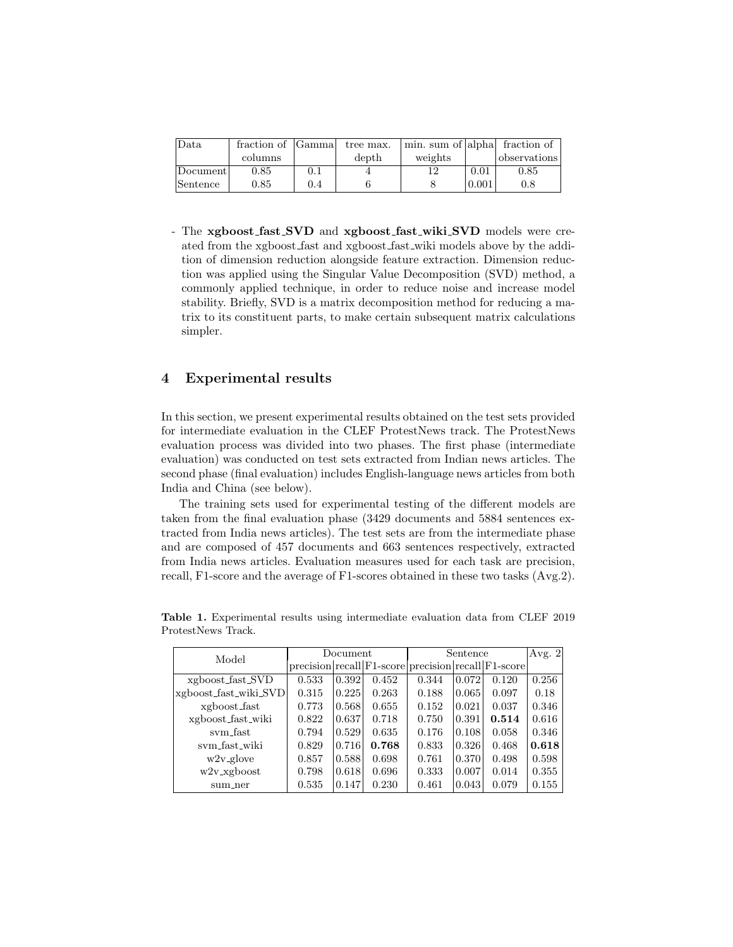| Data     | fraction of [Gamma] |     | tree max. | min. sum of  alpha  fraction of |       |              |
|----------|---------------------|-----|-----------|---------------------------------|-------|--------------|
|          | columns             |     | depth     | weights                         |       | observations |
| Document | $0.85\,$            | 0.1 |           |                                 | 0.01  | 0.85         |
| Sentence | $\rm 0.85$          | 0.4 |           |                                 | 0.001 | 0.8          |

- The xgboost fast SVD and xgboost fast wiki SVD models were created from the xgboost fast and xgboost fast wiki models above by the addition of dimension reduction alongside feature extraction. Dimension reduction was applied using the Singular Value Decomposition (SVD) method, a commonly applied technique, in order to reduce noise and increase model stability. Briefly, SVD is a matrix decomposition method for reducing a matrix to its constituent parts, to make certain subsequent matrix calculations simpler.

## <span id="page-5-0"></span>4 Experimental results

In this section, we present experimental results obtained on the test sets provided for intermediate evaluation in the CLEF ProtestNews track. The ProtestNews evaluation process was divided into two phases. The first phase (intermediate evaluation) was conducted on test sets extracted from Indian news articles. The second phase (final evaluation) includes English-language news articles from both India and China (see below).

The training sets used for experimental testing of the different models are taken from the final evaluation phase (3429 documents and 5884 sentences extracted from India news articles). The test sets are from the intermediate phase and are composed of 457 documents and 663 sentences respectively, extracted from India news articles. Evaluation measures used for each task are precision, recall, F1-score and the average of F1-scores obtained in these two tasks (Avg.2).

| Model                 | Document |       |       | Sentence                                            |       |       | Avg. $2$ |
|-----------------------|----------|-------|-------|-----------------------------------------------------|-------|-------|----------|
|                       |          |       |       | precision recall F1-score precision recall F1-score |       |       |          |
| xgboost_fast_SVD      | 0.533    | 0.392 | 0.452 | 0.344                                               | 0.072 | 0.120 | 0.256    |
| xgboost_fast_wiki_SVD | 0.315    | 0.225 | 0.263 | 0.188                                               | 0.065 | 0.097 | 0.18     |
| xgboost_fast          | 0.773    | 0.568 | 0.655 | 0.152                                               | 0.021 | 0.037 | 0.346    |
| xgboost_fast_wiki     | 0.822    | 0.637 | 0.718 | 0.750                                               | 0.391 | 0.514 | 0.616    |
| sym_fast              | 0.794    | 0.529 | 0.635 | 0.176                                               | 0.108 | 0.058 | 0.346    |
| sym_fast_wiki         | 0.829    | 0.716 | 0.768 | 0.833                                               | 0.326 | 0.468 | 0.618    |
| $w2v_glove$           | 0.857    | 0.588 | 0.698 | 0.761                                               | 0.370 | 0.498 | 0.598    |
| $w2v_x$ gboost        | 0.798    | 0.618 | 0.696 | 0.333                                               | 0.007 | 0.014 | 0.355    |
| sum_ner               | 0.535    | 0.147 | 0.230 | 0.461                                               | 0.043 | 0.079 | 0.155    |

<span id="page-5-1"></span>Table 1. Experimental results using intermediate evaluation data from CLEF 2019 ProtestNews Track.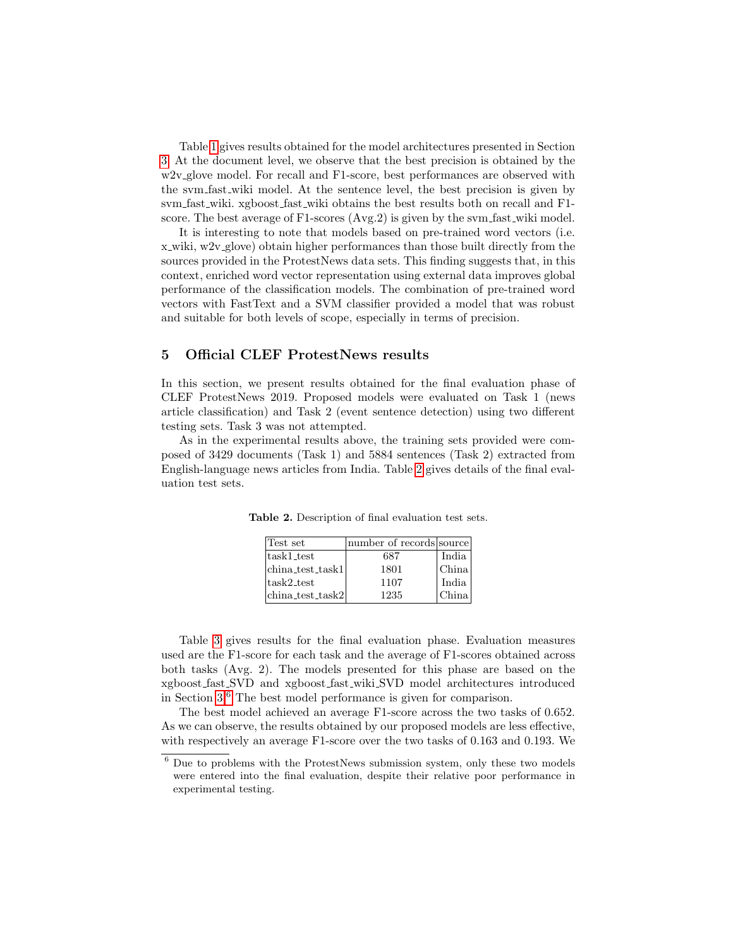Table [1](#page-5-1) gives results obtained for the model architectures presented in Section [3.](#page-3-0) At the document level, we observe that the best precision is obtained by the w2v\_glove model. For recall and F1-score, best performances are observed with the svm fast wiki model. At the sentence level, the best precision is given by svm fast wiki. xgboost fast wiki obtains the best results both on recall and F1 score. The best average of F1-scores (Avg.2) is given by the svm fast wiki model.

It is interesting to note that models based on pre-trained word vectors (i.e. x wiki,  $w2v$  glove) obtain higher performances than those built directly from the sources provided in the ProtestNews data sets. This finding suggests that, in this context, enriched word vector representation using external data improves global performance of the classification models. The combination of pre-trained word vectors with FastText and a SVM classifier provided a model that was robust and suitable for both levels of scope, especially in terms of precision.

## <span id="page-6-0"></span>5 Official CLEF ProtestNews results

In this section, we present results obtained for the final evaluation phase of CLEF ProtestNews 2019. Proposed models were evaluated on Task 1 (news article classification) and Task 2 (event sentence detection) using two different testing sets. Task 3 was not attempted.

As in the experimental results above, the training sets provided were composed of 3429 documents (Task 1) and 5884 sentences (Task 2) extracted from English-language news articles from India. Table [2](#page-6-1) gives details of the final evaluation test sets.

<span id="page-6-1"></span>

| Test set                                 | number of records source |       |
|------------------------------------------|--------------------------|-------|
| task1_test                               | 687                      | India |
| china_test_task1                         | 1801                     | China |
| task2_test                               | 1107                     | India |
| $\left  \text{china_test-task2} \right $ | 1235                     | hina  |

Table 2. Description of final evaluation test sets.

Table [3](#page-7-1) gives results for the final evaluation phase. Evaluation measures used are the F1-score for each task and the average of F1-scores obtained across both tasks (Avg. 2). The models presented for this phase are based on the xgboost fast SVD and xgboost fast wiki SVD model architectures introduced in Section [3.](#page-3-0)[6](#page-6-2) The best model performance is given for comparison.

The best model achieved an average F1-score across the two tasks of 0.652. As we can observe, the results obtained by our proposed models are less effective, with respectively an average F1-score over the two tasks of 0.163 and 0.193. We

<span id="page-6-2"></span><sup>6</sup> Due to problems with the ProtestNews submission system, only these two models were entered into the final evaluation, despite their relative poor performance in experimental testing.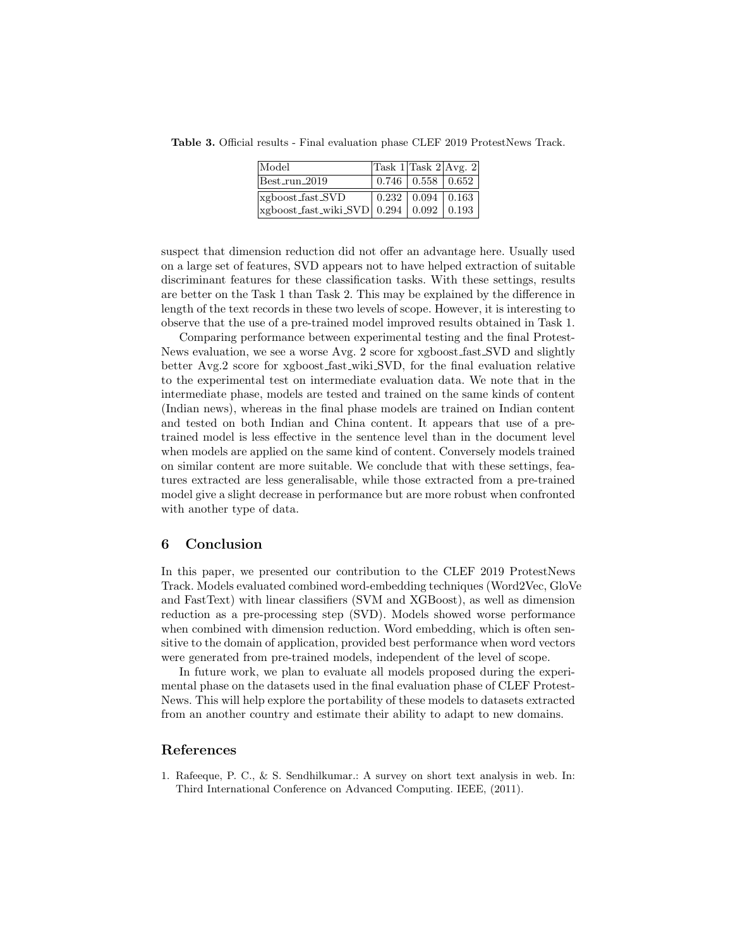Table 3. Official results - Final evaluation phase CLEF 2019 ProtestNews Track.

<span id="page-7-1"></span>

| Model                                                                   | $\sqrt{\text{Task } 1 / \text{Task } 2}$ Avg. 2 |  |
|-------------------------------------------------------------------------|-------------------------------------------------|--|
| $Best.run_2019$                                                         | $\vert 0.746 \vert 0.558 \vert 0.652$           |  |
| xgboost_fast_SVD                                                        | $\boxed{0.232 \mid 0.094 \mid 0.163}$           |  |
| $\vert$ xgboost_fast_wiki_SVD $\vert$ 0.294 $\vert$ 0.092 $\vert$ 0.193 |                                                 |  |

suspect that dimension reduction did not offer an advantage here. Usually used on a large set of features, SVD appears not to have helped extraction of suitable discriminant features for these classification tasks. With these settings, results are better on the Task 1 than Task 2. This may be explained by the difference in length of the text records in these two levels of scope. However, it is interesting to observe that the use of a pre-trained model improved results obtained in Task 1.

Comparing performance between experimental testing and the final Protest-News evaluation, we see a worse Avg. 2 score for xgboost fast SVD and slightly better Avg.2 score for xgboost fast wiki SVD, for the final evaluation relative to the experimental test on intermediate evaluation data. We note that in the intermediate phase, models are tested and trained on the same kinds of content (Indian news), whereas in the final phase models are trained on Indian content and tested on both Indian and China content. It appears that use of a pretrained model is less effective in the sentence level than in the document level when models are applied on the same kind of content. Conversely models trained on similar content are more suitable. We conclude that with these settings, features extracted are less generalisable, while those extracted from a pre-trained model give a slight decrease in performance but are more robust when confronted with another type of data.

### 6 Conclusion

In this paper, we presented our contribution to the CLEF 2019 ProtestNews Track. Models evaluated combined word-embedding techniques (Word2Vec, GloVe and FastText) with linear classifiers (SVM and XGBoost), as well as dimension reduction as a pre-processing step (SVD). Models showed worse performance when combined with dimension reduction. Word embedding, which is often sensitive to the domain of application, provided best performance when word vectors were generated from pre-trained models, independent of the level of scope.

In future work, we plan to evaluate all models proposed during the experimental phase on the datasets used in the final evaluation phase of CLEF Protest-News. This will help explore the portability of these models to datasets extracted from an another country and estimate their ability to adapt to new domains.

### References

<span id="page-7-0"></span>1. Rafeeque, P. C., & S. Sendhilkumar.: A survey on short text analysis in web. In: Third International Conference on Advanced Computing. IEEE, (2011).